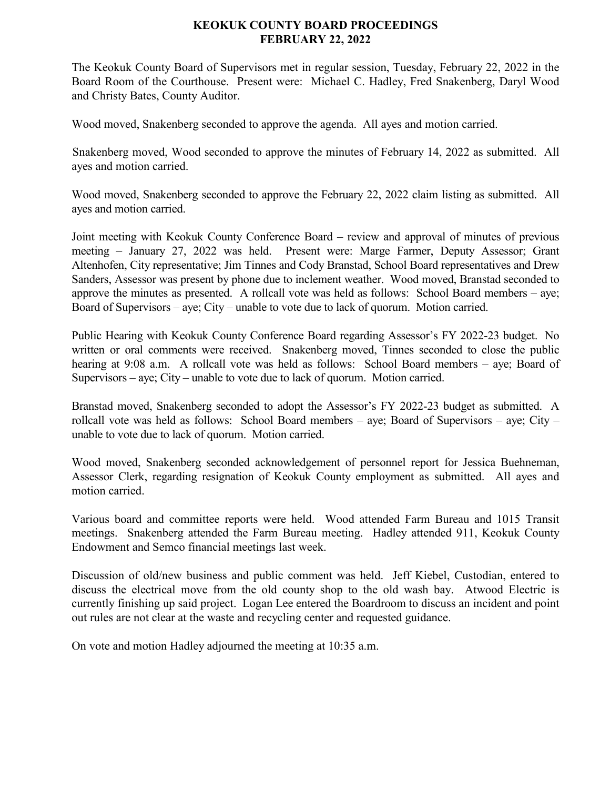## **KEOKUK COUNTY BOARD PROCEEDINGS FEBRUARY 22, 2022**

The Keokuk County Board of Supervisors met in regular session, Tuesday, February 22, 2022 in the Board Room of the Courthouse. Present were: Michael C. Hadley, Fred Snakenberg, Daryl Wood and Christy Bates, County Auditor.

Wood moved, Snakenberg seconded to approve the agenda. All ayes and motion carried.

Snakenberg moved, Wood seconded to approve the minutes of February 14, 2022 as submitted. All ayes and motion carried.

Wood moved, Snakenberg seconded to approve the February 22, 2022 claim listing as submitted. All ayes and motion carried.

Joint meeting with Keokuk County Conference Board – review and approval of minutes of previous meeting – January 27, 2022 was held. Present were: Marge Farmer, Deputy Assessor; Grant Altenhofen, City representative; Jim Tinnes and Cody Branstad, School Board representatives and Drew Sanders, Assessor was present by phone due to inclement weather. Wood moved, Branstad seconded to approve the minutes as presented. A rollcall vote was held as follows: School Board members – aye; Board of Supervisors – aye; City – unable to vote due to lack of quorum. Motion carried.

Public Hearing with Keokuk County Conference Board regarding Assessor's FY 2022-23 budget. No written or oral comments were received. Snakenberg moved, Tinnes seconded to close the public hearing at 9:08 a.m. A rollcall vote was held as follows: School Board members – aye; Board of Supervisors – aye; City – unable to vote due to lack of quorum. Motion carried.

Branstad moved, Snakenberg seconded to adopt the Assessor's FY 2022-23 budget as submitted. A rollcall vote was held as follows: School Board members – aye; Board of Supervisors – aye; City – unable to vote due to lack of quorum. Motion carried.

Wood moved, Snakenberg seconded acknowledgement of personnel report for Jessica Buehneman, Assessor Clerk, regarding resignation of Keokuk County employment as submitted. All ayes and motion carried.

Various board and committee reports were held. Wood attended Farm Bureau and 1015 Transit meetings. Snakenberg attended the Farm Bureau meeting. Hadley attended 911, Keokuk County Endowment and Semco financial meetings last week.

Discussion of old/new business and public comment was held. Jeff Kiebel, Custodian, entered to discuss the electrical move from the old county shop to the old wash bay. Atwood Electric is currently finishing up said project. Logan Lee entered the Boardroom to discuss an incident and point out rules are not clear at the waste and recycling center and requested guidance.

On vote and motion Hadley adjourned the meeting at 10:35 a.m.